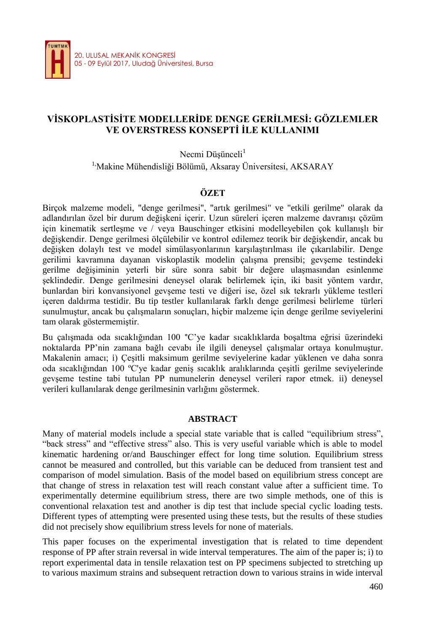

# **VİSKOPLASTİSİTE MODELLERİDE DENGE GERİLMESİ: GÖZLEMLER VE OVERSTRESS KONSEPTİ İLE KULLANIMI**

Necmi Düşünceli<sup>1</sup>

<sup>1</sup>'Makine Mühendisliği Bölümü, Aksaray Üniversitesi, AKSARAY

### **ÖZET**

Birçok malzeme modeli, "denge gerilmesi", "artık gerilmesi" ve "etkili gerilme" olarak da adlandırılan özel bir durum değişkeni içerir. Uzun süreleri içeren malzeme davranışı çözüm için kinematik sertleşme ve / veya Bauschinger etkisini modelleyebilen çok kullanışlı bir değişkendir. Denge gerilmesi ölçülebilir ve kontrol edilemez teorik bir değişkendir, ancak bu değişken dolaylı test ve model simülasyonlarının karşılaştırılması ile çıkarılabilir. Denge gerilimi kavramına dayanan viskoplastik modelin çalışma prensibi; gevşeme testindeki gerilme değişiminin yeterli bir süre sonra sabit bir değere ulaşmasından esinlenme şeklindedir. Denge gerilmesini deneysel olarak belirlemek için, iki basit yöntem vardır, bunlardan biri konvansiyonel gevşeme testi ve diğeri ise, özel sık tekrarlı yükleme testleri içeren daldırma testidir. Bu tip testler kullanılarak farklı denge gerilmesi belirleme türleri sunulmuştur, ancak bu çalışmaların sonuçları, hiçbir malzeme için denge gerilme seviyelerini tam olarak göstermemiştir.

Bu çalışmada oda sıcaklığından 100 °C'ye kadar sıcaklıklarda boşaltma eğrisi üzerindeki noktalarda PP'nin zamana bağlı cevabı ile ilgili deneysel çalışmalar ortaya konulmuştur. Makalenin amacı; i) Çeşitli maksimum gerilme seviyelerine kadar yüklenen ve daha sonra oda sıcaklığından 100 ºC'ye kadar geniş sıcaklık aralıklarında çeşitli gerilme seviyelerinde gevşeme testine tabi tutulan PP numunelerin deneysel verileri rapor etmek. ii) deneysel verileri kullanılarak denge gerilmesinin varlığını göstermek.

### **ABSTRACT**

Many of material models include a special state variable that is called "equilibrium stress", "back stress" and "effective stress" also. This is very useful variable which is able to model kinematic hardening or/and Bauschinger effect for long time solution. Equilibrium stress cannot be measured and controlled, but this variable can be deduced from transient test and comparison of model simulation. Basis of the model based on equilibrium stress concept are that change of stress in relaxation test will reach constant value after a sufficient time. To experimentally determine equilibrium stress, there are two simple methods, one of this is conventional relaxation test and another is dip test that include special cyclic loading tests. Different types of attempting were presented using these tests, but the results of these studies did not precisely show equilibrium stress levels for none of materials.

This paper focuses on the experimental investigation that is related to time dependent response of PP after strain reversal in wide interval temperatures. The aim of the paper is; i) to report experimental data in tensile relaxation test on PP specimens subjected to stretching up to various maximum strains and subsequent retraction down to various strains in wide interval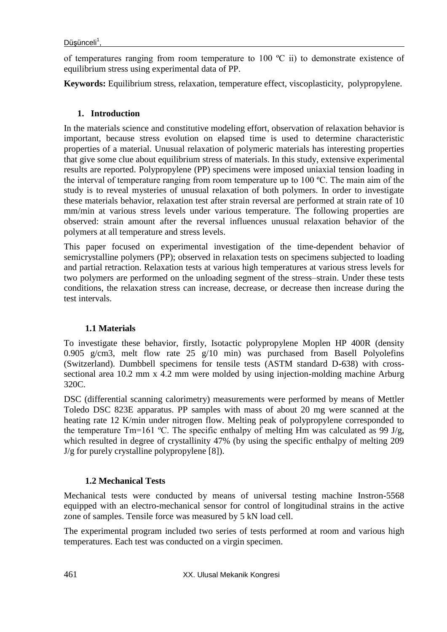of temperatures ranging from room temperature to  $100 \degree C$  ii) to demonstrate existence of equilibrium stress using experimental data of PP.

**Keywords:** Equilibrium stress, relaxation, temperature effect, viscoplasticity, polypropylene.

# **1. Introduction**

In the materials science and constitutive modeling effort, observation of relaxation behavior is important, because stress evolution on elapsed time is used to determine characteristic properties of a material. Unusual relaxation of polymeric materials has interesting properties that give some clue about equilibrium stress of materials. In this study, extensive experimental results are reported. Polypropylene (PP) specimens were imposed uniaxial tension loading in the interval of temperature ranging from room temperature up to 100 ºC. The main aim of the study is to reveal mysteries of unusual relaxation of both polymers. In order to investigate these materials behavior, relaxation test after strain reversal are performed at strain rate of 10 mm/min at various stress levels under various temperature. The following properties are observed: strain amount after the reversal influences unusual relaxation behavior of the polymers at all temperature and stress levels.

This paper focused on experimental investigation of the time-dependent behavior of semicrystalline polymers (PP); observed in relaxation tests on specimens subjected to loading and partial retraction. Relaxation tests at various high temperatures at various stress levels for two polymers are performed on the unloading segment of the stress–strain. Under these tests conditions, the relaxation stress can increase, decrease, or decrease then increase during the test intervals.

## **1.1 Materials**

To investigate these behavior, firstly, Isotactic polypropylene Moplen HP 400R (density 0.905 g/cm3, melt flow rate 25 g/10 min) was purchased from Basell Polyolefins (Switzerland). Dumbbell specimens for tensile tests (ASTM standard D-638) with crosssectional area 10.2 mm x 4.2 mm were molded by using injection-molding machine Arburg 320C.

DSC (differential scanning calorimetry) measurements were performed by means of Mettler Toledo DSC 823E apparatus. PP samples with mass of about 20 mg were scanned at the heating rate 12 K/min under nitrogen flow. Melting peak of polypropylene corresponded to the temperature Tm=161 °C. The specific enthalpy of melting Hm was calculated as 99 J/g, which resulted in degree of crystallinity 47% (by using the specific enthalpy of melting 209 J/g for purely crystalline polypropylene [8]).

# **1.2 Mechanical Tests**

Mechanical tests were conducted by means of universal testing machine Instron-5568 equipped with an electro-mechanical sensor for control of longitudinal strains in the active zone of samples. Tensile force was measured by 5 kN load cell.

The experimental program included two series of tests performed at room and various high temperatures. Each test was conducted on a virgin specimen.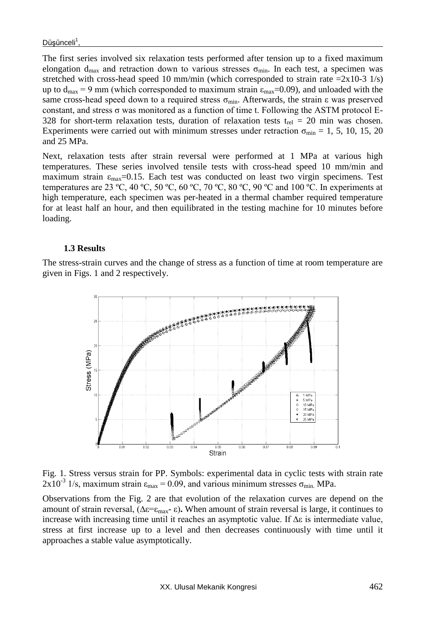The first series involved six relaxation tests performed after tension up to a fixed maximum elongation d<sub>max</sub> and retraction down to various stresses  $\sigma_{min}$ . In each test, a specimen was stretched with cross-head speed 10 mm/min (which corresponded to strain rate  $=2x10-3$  1/s) up to  $d_{max} = 9$  mm (which corresponded to maximum strain  $\varepsilon_{max} = 0.09$ ), and unloaded with the same cross-head speed down to a required stress  $\sigma_{min}$ . Afterwards, the strain  $\varepsilon$  was preserved constant, and stress σ was monitored as a function of time t. Following the ASTM protocol E-328 for short-term relaxation tests, duration of relaxation tests  $t_{rel} = 20$  min was chosen. Experiments were carried out with minimum stresses under retraction  $\sigma_{min} = 1, 5, 10, 15, 20$ and 25 MPa.

Next, relaxation tests after strain reversal were performed at 1 MPa at various high temperatures. These series involved tensile tests with cross-head speed 10 mm/min and maximum strain  $\varepsilon_{\text{max}}$ =0.15. Each test was conducted on least two virgin specimens. Test temperatures are 23 °C, 40 °C, 50 °C, 60 °C, 70 °C, 80 °C, 90 °C and 100 °C. In experiments at high temperature, each specimen was per-heated in a thermal chamber required temperature for at least half an hour, and then equilibrated in the testing machine for 10 minutes before loading.

#### **1.3 Results**

The stress-strain curves and the change of stress as a function of time at room temperature are given in Figs. 1 and 2 respectively.



Fig. 1. Stress versus strain for PP. Symbols: experimental data in cyclic tests with strain rate  $2x10^{-3}$  1/s, maximum strain  $\varepsilon_{\text{max}} = 0.09$ , and various minimum stresses  $\sigma_{\text{min}}$ . MPa.

Observations from the Fig. 2 are that evolution of the relaxation curves are depend on the amount of strain reversal, ( $\Delta \varepsilon = \varepsilon_{\text{max}} - \varepsilon$ ). When amount of strain reversal is large, it continues to increase with increasing time until it reaches an asymptotic value. If ∆ε is intermediate value, stress at first increase up to a level and then decreases continuously with time until it approaches a stable value asymptotically.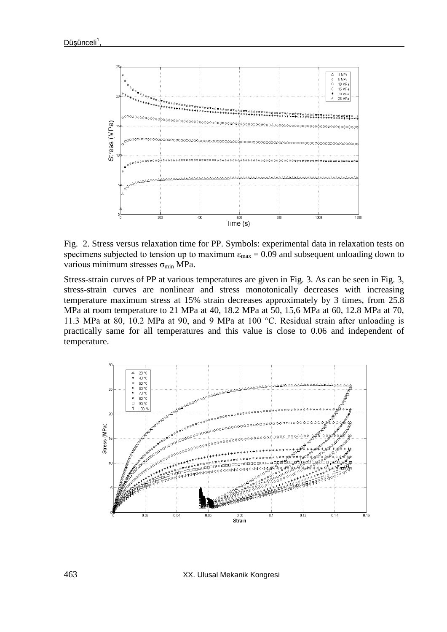

Fig. 2. Stress versus relaxation time for PP. Symbols: experimental data in relaxation tests on specimens subjected to tension up to maximum  $\varepsilon_{\text{max}} = 0.09$  and subsequent unloading down to various minimum stresses  $\sigma_{min}$  MPa.

Stress-strain curves of PP at various temperatures are given in Fig. 3. As can be seen in Fig. 3, stress-strain curves are nonlinear and stress monotonically decreases with increasing temperature maximum stress at 15% strain decreases approximately by 3 times, from 25.8 MPa at room temperature to 21 MPa at 40, 18.2 MPa at 50, 15,6 MPa at 60, 12.8 MPa at 70, 11.3 MPa at 80, 10.2 MPa at 90, and 9 MPa at 100 °C. Residual strain after unloading is practically same for all temperatures and this value is close to 0.06 and independent of temperature.



463 XX. Ulusal Mekanik Kongresi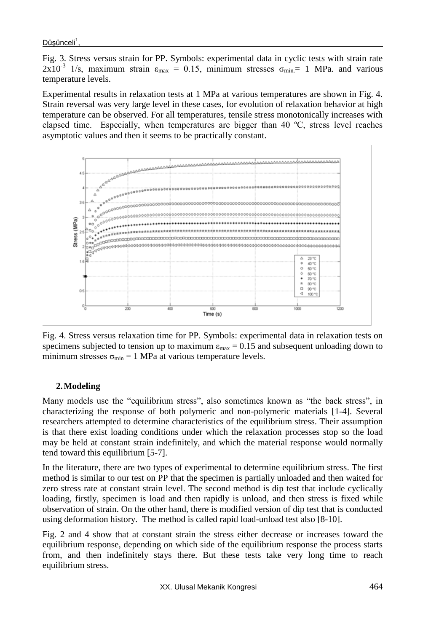Fig. 3. Stress versus strain for PP. Symbols: experimental data in cyclic tests with strain rate 2x10<sup>-3</sup> 1/s, maximum strain  $\varepsilon_{\text{max}} = 0.15$ , minimum stresses  $\sigma_{\text{min}} = 1$  MPa. and various temperature levels.

Experimental results in relaxation tests at 1 MPa at various temperatures are shown in Fig. 4. Strain reversal was very large level in these cases, for evolution of relaxation behavior at high temperature can be observed. For all temperatures, tensile stress monotonically increases with elapsed time. Especially, when temperatures are bigger than 40 ºC, stress level reaches asymptotic values and then it seems to be practically constant.



Fig. 4. Stress versus relaxation time for PP. Symbols: experimental data in relaxation tests on specimens subjected to tension up to maximum  $\varepsilon_{\text{max}} = 0.15$  and subsequent unloading down to minimum stresses  $\sigma_{\min} = 1$  MPa at various temperature levels.

## **2.Modeling**

Many models use the "equilibrium stress", also sometimes known as "the back stress", in characterizing the response of both polymeric and non-polymeric materials [1-4]. Several researchers attempted to determine characteristics of the equilibrium stress. Their assumption is that there exist loading conditions under which the relaxation processes stop so the load may be held at constant strain indefinitely, and which the material response would normally tend toward this equilibrium [5-7].

In the literature, there are two types of experimental to determine equilibrium stress. The first method is similar to our test on PP that the specimen is partially unloaded and then waited for zero stress rate at constant strain level. The second method is dip test that include cyclically loading, firstly, specimen is load and then rapidly is unload, and then stress is fixed while observation of strain. On the other hand, there is modified version of dip test that is conducted using deformation history. The method is called rapid load-unload test also [8-10].

Fig. 2 and 4 show that at constant strain the stress either decrease or increases toward the equilibrium response, depending on which side of the equilibrium response the process starts from, and then indefinitely stays there. But these tests take very long time to reach equilibrium stress.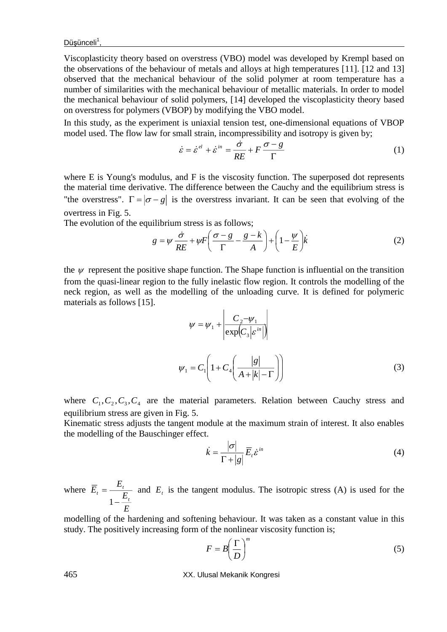Viscoplasticity theory based on overstress (VBO) model was developed by Krempl based on the observations of the behaviour of metals and alloys at high temperatures [11]. [12 and 13] observed that the mechanical behaviour of the solid polymer at room temperature has a number of similarities with the mechanical behaviour of metallic materials. In order to model the mechanical behaviour of solid polymers, [14] developed the viscoplasticity theory based on overstress for polymers (VBOP) by modifying the VBO model.

In this study, as the experiment is uniaxial tension test, one-dimensional equations of VBOP model used. The flow law for small strain, incompressibility and isotropy is given by;

$$
\dot{\varepsilon} = \dot{\varepsilon}^{el} + \dot{\varepsilon}^{in} = \frac{\dot{\sigma}}{RE} + F \frac{\sigma - g}{\Gamma}
$$
 (1)

where E is Young's modulus, and F is the viscosity function. The superposed dot represents the material time derivative. The difference between the Cauchy and the equilibrium stress is "the overstress".  $\Gamma = |\sigma - g|$  is the overstress invariant. It can be seen that evolving of the overtress in Fig. 5.

The evolution of the equilibrium stress is as follows;

$$
g = \psi \frac{\dot{\sigma}}{RE} + \psi F \left( \frac{\sigma - g}{\Gamma} - \frac{g - k}{A} \right) + \left( 1 - \frac{\psi}{E} \right) \dot{k}
$$
 (2)

the  $\psi$  represent the positive shape function. The Shape function is influential on the transition from the quasi-linear region to the fully inelastic flow region. It controls the modelling of the neck region, as well as the modelling of the unloading curve. It is defined for polymeric materials as follows [15].  $\mathbf{r}$ 

$$
\psi = \psi_1 + \left| \frac{C_2 - \psi_1}{\exp(C_3|\varepsilon^{in})} \right|
$$
  

$$
\psi_1 = C_1 \left( 1 + C_4 \left( \frac{|g|}{A + |k| - \Gamma} \right) \right)
$$
 (3)

where  $C_1, C_2, C_3, C_4$  are the material parameters. Relation between Cauchy stress and equilibrium stress are given in Fig. 5.

Kinematic stress adjusts the tangent module at the maximum strain of interest. It also enables the modelling of the Bauschinger effect.

$$
\dot{k} = \frac{|\sigma|}{\Gamma + |g|} \overline{E}_i \dot{\varepsilon}^{\text{in}} \tag{4}
$$

where *E E*  $\overline{E}$ <sub>=</sub> $\frac{E}{\sqrt{2}}$ *t*  $t = \frac{t}{t}$ Ξ  $=$  $\frac{1}{1}$ and  $E_t$  is the tangent modulus. The isotropic stress (A) is used for the

modelling of the hardening and softening behaviour. It was taken as a constant value in this study. The positively increasing form of the nonlinear viscosity function is;

$$
F = B \left(\frac{\Gamma}{D}\right)^m \tag{5}
$$

465 XX. Ulusal Mekanik Kongresi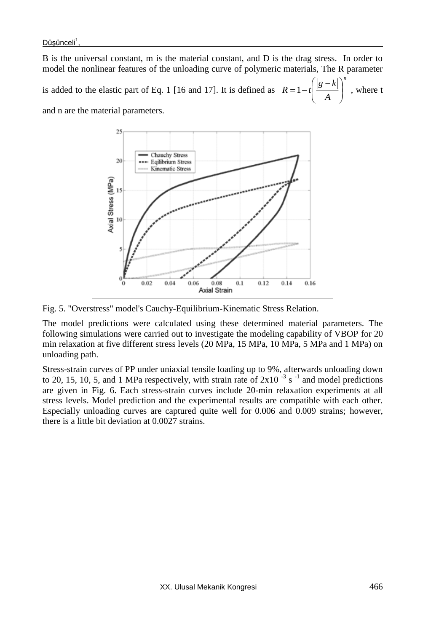B is the universal constant, m is the material constant, and D is the drag stress. In order to model the nonlinear features of the unloading curve of polymeric materials, The R parameter is added to the elastic part of Eq. 1 [16 and 17]. It is defined as *n A*  $R = 1 - t \frac{|g - k|}{ }$ I I J  $\lambda$  $\overline{\phantom{a}}$  $\setminus$  $=1-t\left(\frac{|g-k|}{t}\right)^n$ , where t and n are the material parameters.



Fig. 5. "Overstress" model's Cauchy-Equilibrium-Kinematic Stress Relation.

The model predictions were calculated using these determined material parameters. The following simulations were carried out to investigate the modeling capability of VBOP for 20 min relaxation at five different stress levels (20 MPa, 15 MPa, 10 MPa, 5 MPa and 1 MPa) on unloading path.

Stress-strain curves of PP under uniaxial tensile loading up to 9%, afterwards unloading down to 20, 15, 10, 5, and 1 MPa respectively, with strain rate of  $2x10^{-3}$  s<sup>-1</sup> and model predictions are given in Fig. 6. Each stress-strain curves include 20-min relaxation experiments at all stress levels. Model prediction and the experimental results are compatible with each other. Especially unloading curves are captured quite well for 0.006 and 0.009 strains; however, there is a little bit deviation at 0.0027 strains.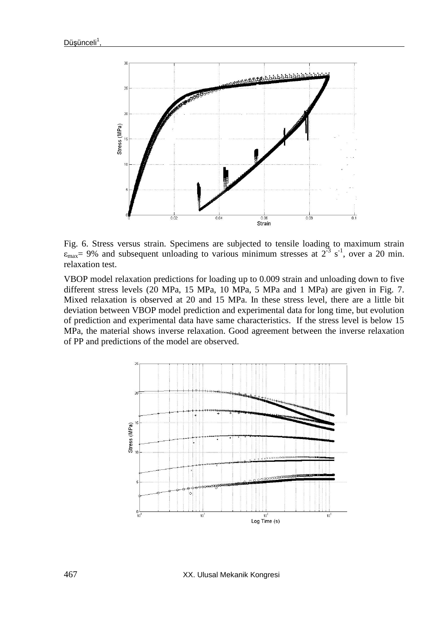

Fig. 6. Stress versus strain. Specimens are subjected to tensile loading to maximum strain  $\varepsilon_{\text{max}}$  = 9% and subsequent unloading to various minimum stresses at  $2^{-3}$  s<sup>-1</sup>, over a 20 min. relaxation test.

VBOP model relaxation predictions for loading up to 0.009 strain and unloading down to five different stress levels (20 MPa, 15 MPa, 10 MPa, 5 MPa and 1 MPa) are given in Fig. 7. Mixed relaxation is observed at 20 and 15 MPa. In these stress level, there are a little bit deviation between VBOP model prediction and experimental data for long time, but evolution of prediction and experimental data have same characteristics. If the stress level is below 15 MPa, the material shows inverse relaxation. Good agreement between the inverse relaxation of PP and predictions of the model are observed.



467 XX. Ulusal Mekanik Kongresi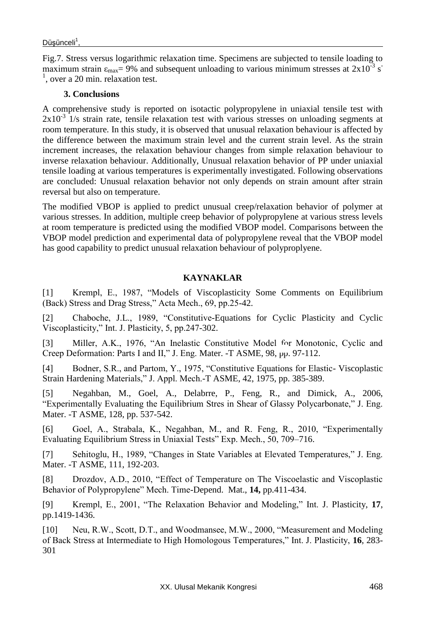Fig.7. Stress versus logarithmic relaxation time. Specimens are subjected to tensile loading to maximum strain  $\varepsilon_{\text{max}}$  = 9% and subsequent unloading to various minimum stresses at 2x10<sup>-3</sup> s<sup>-</sup>  $<sup>1</sup>$ , over a 20 min. relaxation test.</sup>

### **3. Conclusions**

A comprehensive study is reported on isotactic polypropylene in uniaxial tensile test with  $2x10^{-3}$  1/s strain rate, tensile relaxation test with various stresses on unloading segments at room temperature. In this study, it is observed that unusual relaxation behaviour is affected by the difference between the maximum strain level and the current strain level. As the strain increment increases, the relaxation behaviour changes from simple relaxation behaviour to inverse relaxation behaviour. Additionally, Unusual relaxation behavior of PP under uniaxial tensile loading at various temperatures is experimentally investigated. Following observations are concluded: Unusual relaxation behavior not only depends on strain amount after strain reversal but also on temperature.

The modified VBOP is applied to predict unusual creep/relaxation behavior of polymer at various stresses. In addition, multiple creep behavior of polypropylene at various stress levels at room temperature is predicted using the modified VBOP model. Comparisons between the VBOP model prediction and experimental data of polypropylene reveal that the VBOP model has good capability to predict unusual relaxation behaviour of polyproplyene.

### **KAYNAKLAR**

[1] Krempl, E., 1987, "Models of Viscoplasticity Some Comments on Equilibrium (Back) Stress and Drag Stress," Acta Mech., 69, pp.25-42.

[2] Chaboche, J.L., 1989, "Constitutive-Equations for Cyclic Plasticity and Cyclic Viscoplasticity," Int. J. Plasticity, 5, pp.247-302.

[3] Miller, A.K., 1976, "An Inelastic Constitutive Model for Monotonic, Cyclic and Creep Deformation: Parts I and II," J. Eng. Mater. -T ASME, 98, pp. 97-112.

[4] Bodner, S.R., and Partom, Y., 1975, "Constitutive Equations for Elastic- Viscoplastic Strain Hardening Materials," J. Appl. Mech.-T ASME, 42, 1975, pp. 385-389.

[5] Negahban, M., Goel, A., Delabrre, P., Feng, R., and Dimick, A., 2006, "Experimentally Evaluating the Equilibrium Stres in Shear of Glassy Polycarbonate," J. Eng. Mater. -T ASME, 128, pp. 537-542.

[6] Goel, A., Strabala, K., Negahban, M., and R. Feng, R., 2010, "Experimentally Evaluating Equilibrium Stress in Uniaxial Tests" Exp. Mech., 50, 709–716.

[7] Sehitoglu, H., 1989, "Changes in State Variables at Elevated Temperatures," J. Eng. Mater. -T ASME, 111, 192-203.

[8] Drozdov, A.D., 2010, "Effect of Temperature on The Viscoelastic and Viscoplastic Behavior of Polypropylene" Mech. Time-Depend. Mat., **14,** pp.411-434.

[9] Krempl, E., 2001, "The Relaxation Behavior and Modeling," Int. J. Plasticity, **17**, pp.1419-1436.

[10] Neu, R.W., Scott, D.T., and Woodmansee, M.W., 2000, "Measurement and Modeling of Back Stress at Intermediate to High Homologous Temperatures," Int. J. Plasticity, **16**, 283- 301